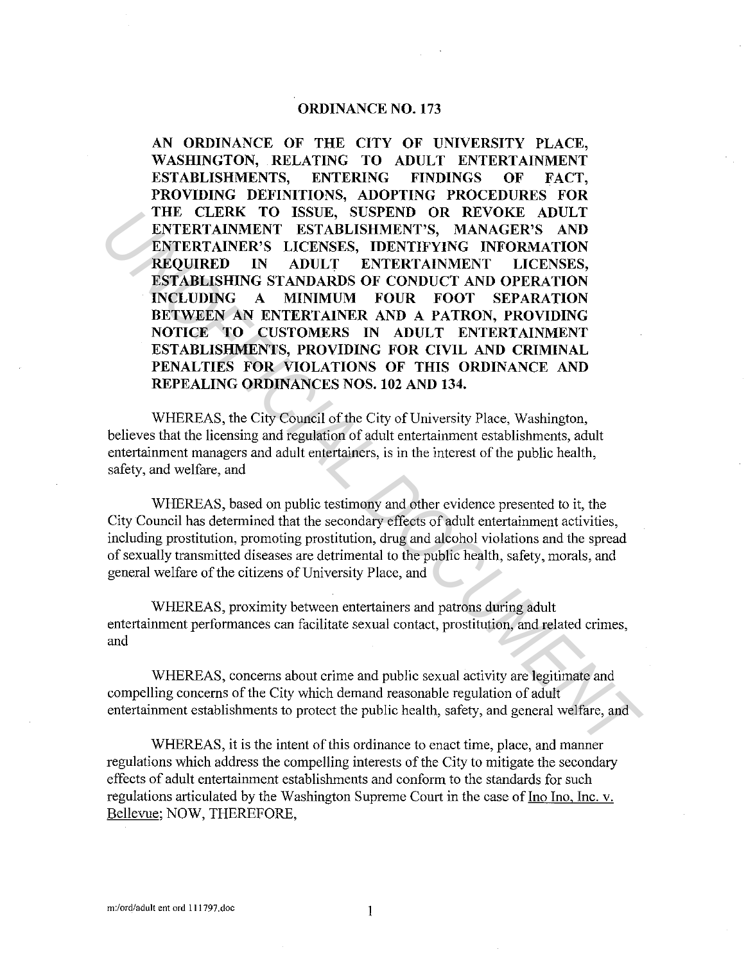## **ORDINANCE N0.173**

**AN ORDINANCE OF THE CITY OF UNIVERSITY PLACE, WASHINGTON, RELATING TO ADULT ENTERTAINMENT ESTABLISHMENTS, ENTERING FINDINGS OF FACT, PROVIDING DEFINITIONS, ADOPTING PROCEDURES FOR THE CLERK TO ISSUE, SUSPEND OR REVOKE ADULT ENTERTAINMENT ESTABLISHMENT'S, MANAGER'S AND ENTERTAINER'S LICENSES, IDENTIFYING INFORMATION REQUIRED IN ADULT ENTERTAINMENT LICENSES, ESTABLISHING STANDARDS OF CONDUCT AND OPERATION INCLUDING A MINIMUM FOUR FOOT SEPARATION BETWEEN AN ENTERTAINER AND A PATRON, PROVIDING NOTICE TO CUSTOMERS IN ADULT ENTERTAINMENT ESTABLISHMENTS, PROVIDING FOR CIVIL AND CRIMINAL PENALTIES FOR VIOLATIONS OF THIS ORDINANCE AND REPEALING ORDINANCES NOS. 102 AND 134.**  THE CLERK TO ISSUE, SUSPEND OR REVOKE ADULT-<br>
ENTERTAINMENT ESTABLISHMENT'S, MANAGER'S AND<br>
ENTERTAINMENT ESTABLISHMENT'S, MANAGER'S AND<br>
ENTERTAINMENT EXTABLISHMENT'S, MANAGER'S AND<br>
ENTERTAINMENT LICENSES,<br>
ESTABLISHME O

WHEREAS, the City Council of the City of University Place, Washington, believes that the licensing and regulation of adult entertainment establishments, adult entertainment managers and adult entertainers, is in the interest of the public health, safety, and welfare, and

WHEREAS, based on public testimony and other evidence presented to it, the City Council has determined that the secondary effects of adult entertainment activities, including prostitution, promoting prostitution, drug and alcohol violations and the spread of sexually transmitted diseases are detrimental to the public health, safety, morals, and general welfare of the citizens of University Place, and

WHEREAS, proximity between entertainers and patrons during adult entertainment performances can facilitate sexual contact, prostitution, and related crimes, and

WHEREAS, concerns about crime and public sexual activity are legitimate and compelling concerns of the City which demand reasonable regulation of adult entertainment establishments to protect the public health, safety, and general welfare, and

WHEREAS, it is the intent of this ordinance to enact time, place, and manner regulations which address the compelling interests of the City to mitigate the secondary effects of adult entertainment establishments and conform to the standards for such regulations articulated by the Washington Supreme Court in the case of Ino Ino, Inc. v. Bellevue; NOW, THEREFORE,

 $\mathbf{1}$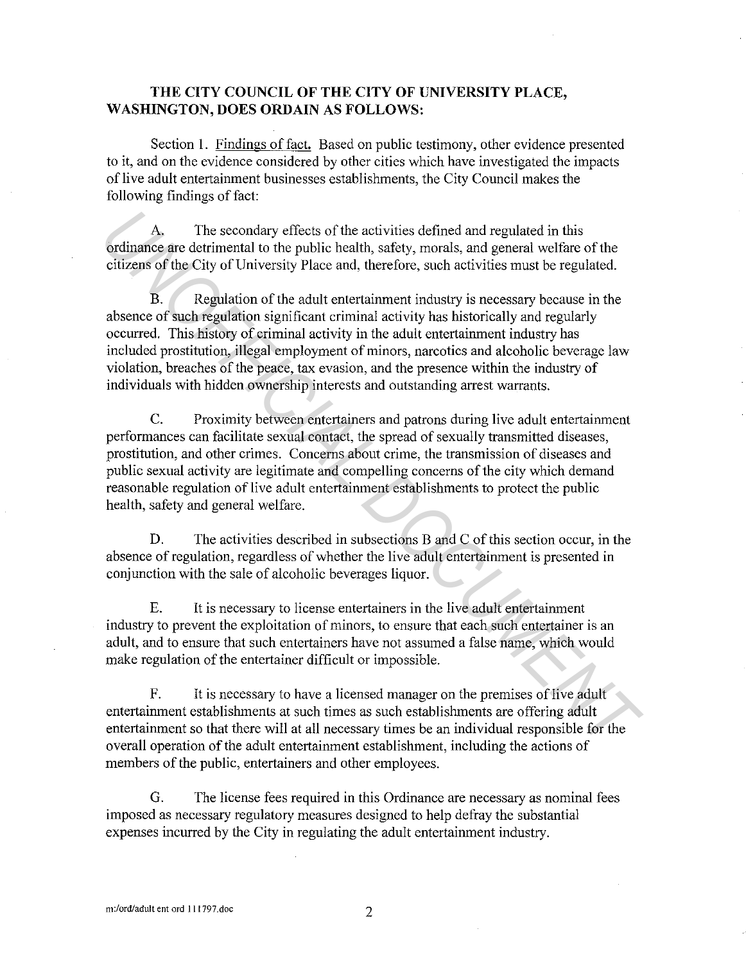## **THE CITY COUNCIL OF THE CITY OF UNIVERSITY PLACE, WASHINGTON, DOES ORDAIN AS FOLLOWS:**

Section I. Findings of fact. Based on public testimony, other evidence presented to it, and on the evidence considered by other cities which have investigated the impacts of live adult entertainment businesses establishments, the City Council makes the following findings of fact:

A. The secondary effects of the activities defined and regulated in this ordinance are detrimental to the public health, safety, morals, and general welfare of the citizens of the City of University Place and, therefore, such activities must be regulated.

B. Regulation of the adult entertainment industry is necessary because in the absence of such regulation significant criminal activity has historically and regularly occurred. This history of criminal activity in the adult entertainment industry has included prostitution, illegal employment of minors, narcotics and alcoholic beverage law violation, breaches of the peace, tax evasion, and the presence within the industry of individuals with hidden ownership interests and outstanding arrest warrants. A. The secondary effects of the activities defined and regulated in this<br>ordinance are detrimental to the public health, safety, morals, and general welfare of the<br>citizens of the City of University Place and, therefore, s

C. Proximity between entertainers and patrons during live adult entertainment performances can facilitate sexual contact, the spread of sexually transmitted diseases, prostitution, and other crimes. Concerns about crime, the transmission of diseases and public sexual activity are legitimate and compelling concerns of the city which demand reasonable regulation of live adult entertainment establishments to protect the public health, safety and general welfare.

D. The activities described in subsections B and C of this section occur, in the absence of regulation, regardless of whether the live adult entertainment is presented in conjunction with the sale of alcoholic beverages liquor.

E. It is necessary to license entertainers in the live adult entertainment industry to prevent the exploitation of minors, to ensure that each such entertainer is an adult, and to ensure that such entertainers have not assumed a false name, which would make regulation of the entertainer difficult or impossible.

F. It is necessary to have a licensed manager on the premises of live adult entertainment establishments at such times as such establishments are offering adult entertainment so that there will at all necessary times be an individual responsible for the overall operation of the adult entertainment establishment, including the actions of members of the public, entertainers and other employees.

G. The license fees required in this Ordinance are necessary as nominal fees imposed as necessary regulatory measures designed to help defray the substantial expenses incurred by the City in regulating the adult entertainment industry.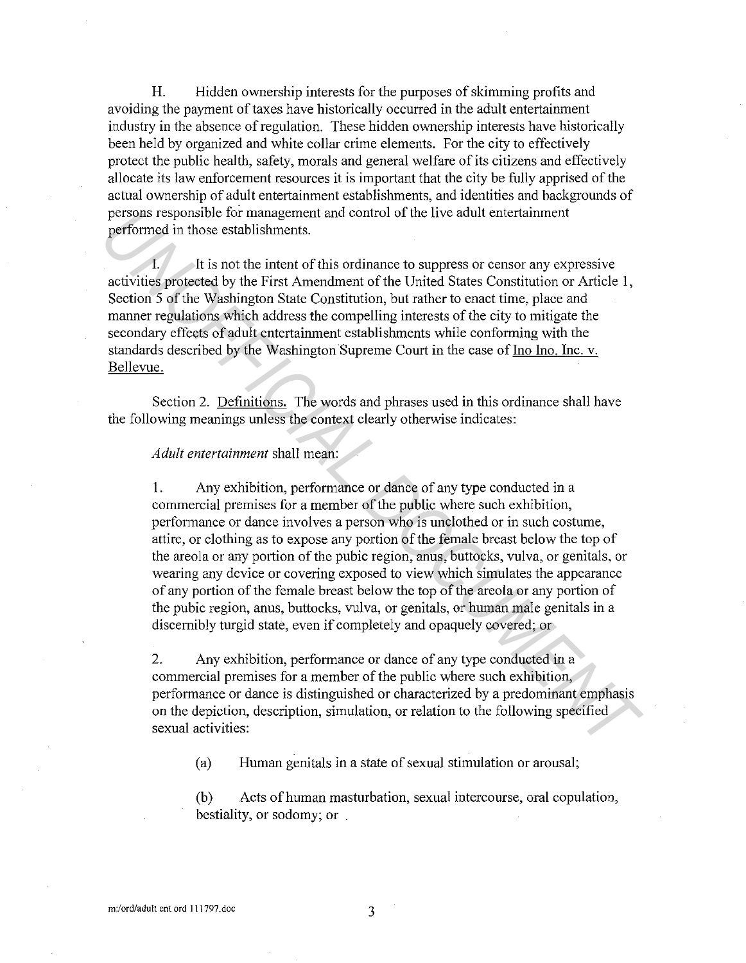H. Hidden ownership interests for the purposes of skimming profits and avoiding the payment of taxes have historically occurred in the adult entertainment industry in the absence of regulation. These hidden ownership interests have historically been held by organized and white collar crime elements. For the city to effectively protect the public health, safety, morals and general welfare of its citizens and effectively allocate its law enforcement resources it is important that the city be fully apprised of the actual ownership of adult entertainment establishments, and identities and backgrounds of persons responsible for management and control of the live adult entertainment performed in those establishments.

It is not the intent of this ordinance to suppress or censor any expressive activities protected by the First Amendment of the United States Constitution or Article I, Section 5 of the Washington State Constitution, but rather to enact time, place and manner regulations which address the compelling interests of the city to mitigate the secondary effects of adult entertainment establishments while conforming with the standards described by the Washington Supreme Court in the case of Ino Ino, Inc. v. Bellevue.

Section 2. Definitions, The words and phrases used in this ordinance shall have the following meanings unless the context clearly otherwise indicates:

*Adult entertainment* shall mean:

1. Any exhibition, performance or dance of any type conducted in a commercial premises for a member of the public where such exhibition, performance or dance involves a person who is unclothed or in such costume, attire, or clothing as to expose any portion of the female breast below the top of the areola or any portion of the pubic region, anus, buttocks, vulva, or genitals, or wearing any device or covering exposed to view which simulates the appearance of any portion of the female breast below the top of the areola or any portion of the pubic region, anus, buttocks, vulva, or genitals, or human male genitals in a discernibly turgid state, even if completely and opaquely covered; or persions responsible for management and control of the live adult entertainment<br>performed in those establishments.<br>
It is not the intent of this ordinance to suppress or censor any expressive<br>
activities protected by the F

2. Any exhibition, performance or dance of any type conducted in a commercial premises for a member of the public where such exhibition, performance or dance is distinguished or characterized by a predominant emphasis on the depiction, description, simulation, or relation to the following specified sexual activities:

(a) Human genitals in a state of sexual stimulation or arousal;

(b) Acts of human masturbation, sexual intercourse, oral copulation, bestiality, or sodomy; or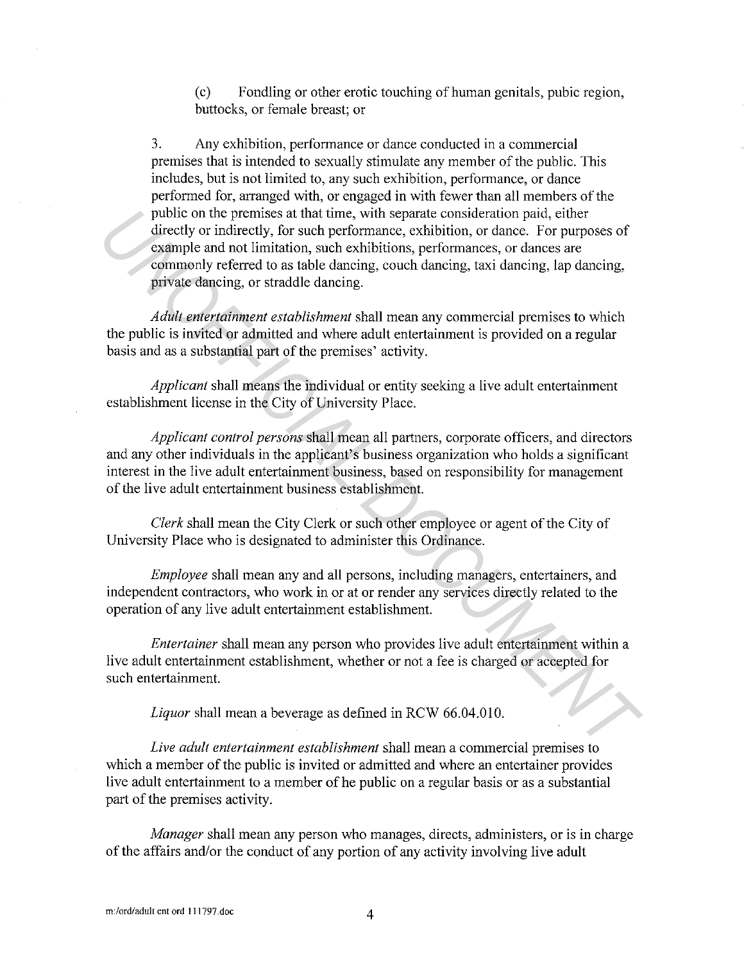(c) Fondling or other erotic touching of human genitals, pubic region, buttocks, or female breast; or

3. Any exhibition, performance or dance conducted in a commercial premises that is intended to sexually stimulate any member of the public. This includes, but is not limited to, any such exhibition, performance, or dance performed for, arranged with, or engaged in with fewer than all members of the public on the premises at that time, with separate consideration paid, either directly or indirectly, for such performance, exhibition, or dance. For purposes of example and not limitation, such exhibitions, performances, or dances are commonly referred to as table dancing, couch dancing, taxi dancing, lap dancing, private dancing, or straddle dancing. public on the premises at that time, with separate consideration paid, either<br> *Uncely or indirectly,* for such performance, exhibition, or dance. For purposes of<br>
cosmple and not limitation, such exhibitions, performances

*Adult entertainment establishment* shall mean any commercial premises to which the public is invited or admitted and where adult entertainment is provided on a regular basis and as a substantial part of the premises' activity.

*Applicant* shall means the individual or entity seeking a live adult entertainment establishment license in the City of University Place.

*Applicant control persons* shall mean all partners, corporate officers, and directors and any other individuals in the applicant's business organization who holds a significant interest in the live adult entertainment business, based on responsibility for management of the live adult entertainment business establishment.

*Clerk* shall mean the City Clerk or such other employee or agent of the City of University Place who is designated to administer this Ordinance.

*Employee* shall mean any and all persons, including managers, entertainers, and independent contractors, who work in or at or render any services directly related to the operation of any live adult entertainment establishment.

*Entertainer* shall mean any person who provides live adult entertainment within a live adult entertainment establishment, whether or not a fee is charged or accepted for such entertainment.

*Liquor* shall mean a beverage as defined in RCW 66.04.010.

*Live adult entertainment establishment* shall mean a commercial premises to which a member of the public is invited or admitted and where an entertainer provides live adult entertainment to a member of he public on a regular basis or as a substantial part of the premises activity.

*Manager* shall mean any person who manages, directs, administers, or is in charge of the affairs and/or the conduct of any portion of any activity involving live adult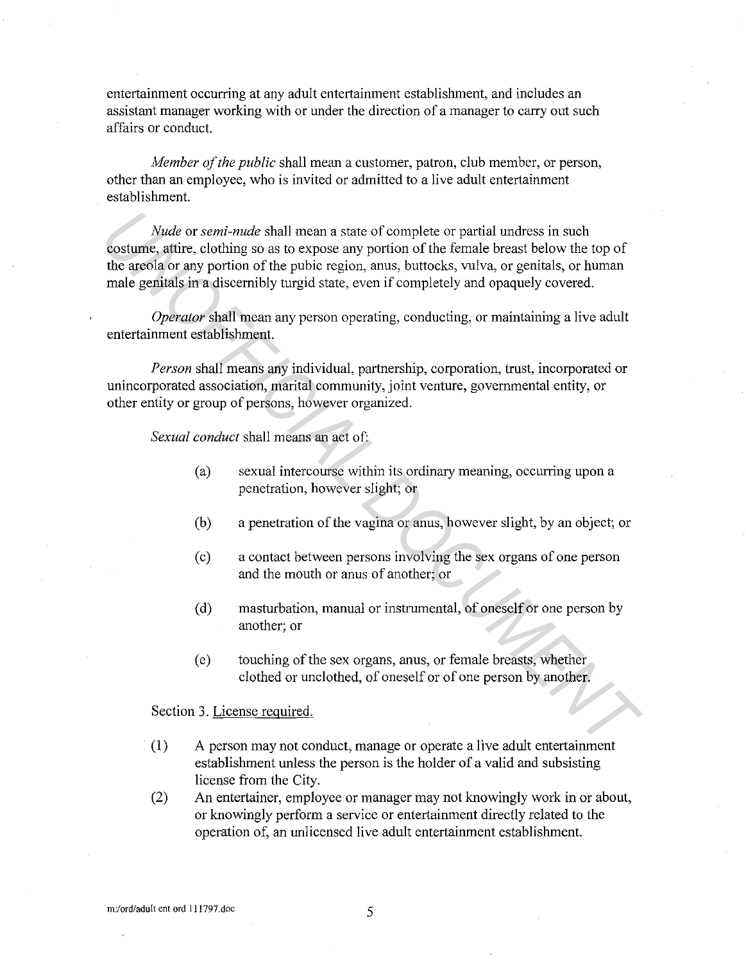entertainment occurring at any adult entertainment establishment, and includes an assistant manager working with or under the direction of a manager to carry out such affairs or conduct.

*Member of the public* shall mean a customer, patron, club member, or person, other than an employee, who is invited or admitted to a live adult entertainment establishment.

*Nude* or *semi-nude* shall mean a state of complete or partial undress in such costume, attire, clothing so as to expose any portion of the female breast below the top of the areola or any portion of the pubic region, anus, buttocks, vulva, or genitals, or human male genitals in a discernibly turgid state, even if completely and opaquely covered. *Nude or semi-nude* shall mean a state of complete or partial underess in such<br>costume, aftire, cloching so as to expose any portion of the female breast below the top of<br>the arefola or any portion of the public region, an

*Operator* shall mean any person operating, conducting, or maintaining a live adult entertainment establishment.

*Person* shall means any individual, partnership, corporation, trust, incorporated or unincorporated association, marital community, joint venture, governmental entity, or other entity or group of persons, however organized.

*Sexual conduct* shall means an act of:

- (a) sexual intercourse within its ordinary meaning, occurring upon a penetration, however slight; or
- (b) a penetration of the vagina or anus, however slight, by an object; or
- ( c) a contact between persons involving the sex organs of one person and the mouth or anus of another; or
- ( d) masturbation, manual or instrumental, of oneself or one person by another; or
- ( e) touching of the sex organs, anus, or female breasts, whether clothed or unclothed, of oneself or of one person by another.

Section 3. License reguired.

- (1) A person may not conduct, manage or operate a live adult entertainment establishment unless the person is the holder of a valid and subsisting license from the City.
- (2) An entertainer, employee or manager may not knowingly work in or about, or knowingly perform a service or entertainment directly related to the operation of, an unlicensed live adult entertainment establishment.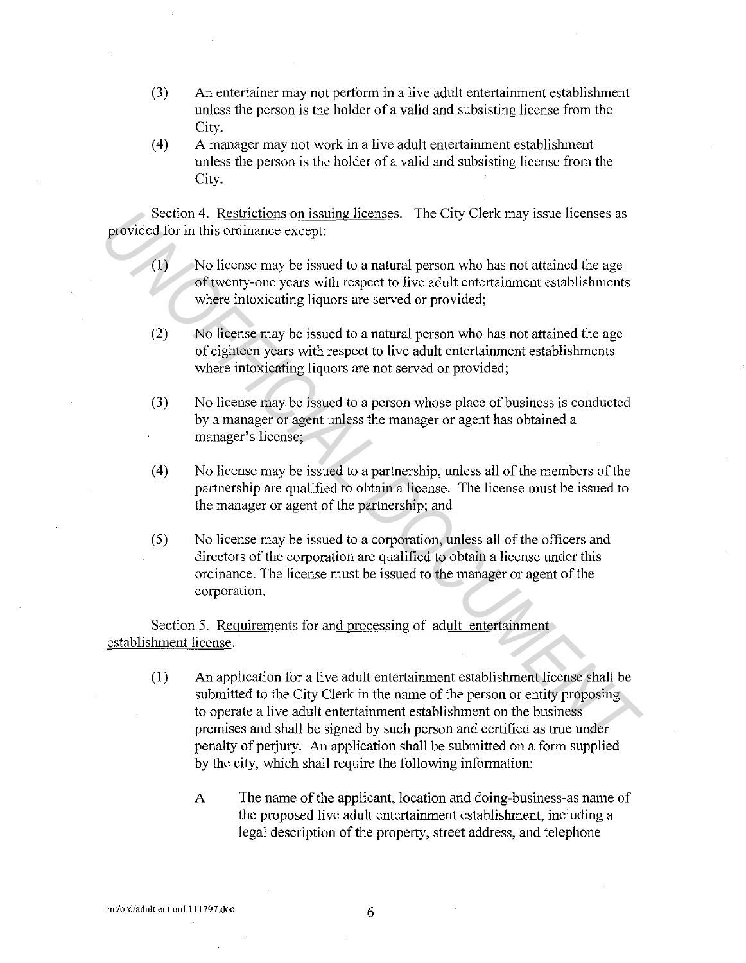- (3) An entertainer may not perform in a live adult entertainment establishment unless the person is the holder of a valid and subsisting license from the City.
- (4) A manager may not work in a live adult entertainment establishment unless the person is the holder of a valid and subsisting license from the City.

Section 4. Restrictions on issuing licenses. The City Clerk may issue licenses as provided for in this ordinance except:

- (1) No license may be issued to a natural person who has not attained the age of twenty-one years with respect to live adult entertainment establishments where intoxicating liquors are served or provided;
- (2) No license may be issued to a natural person who has not attained the age of eighteen years with respect to live adult entertainment establishments where intoxicating liquors are not served or provided;
- (3) No license may be issued to a person whose place of business is conducted by a manager or agent unless the manager or agent has obtained a manager's license;
- (4) No license may be issued to a partnership, unless all of the members of the partnership are qualified to obtain a license. The license must be issued to the manager or agent of the partnership; and
- (5) No license may be issued to a corporation, unless all of the officers and directors of the corporation are qualified to obtain a license under this ordinance. The license must be issued to the manager or agent of the corporation.

Section 5. Requirements for and processing of adult entertainment establishment license.

- (1) An application for a live adult entertainment establishment license shall be submitted to the City Clerk in the name of the person or entity proposing to operate a live adult entertainment establishment on the business premises and shall be signed by such person and certified as true under penalty of perjury. An application shall be submitted on a form supplied by the city, which shall require the following information: Secon 4. Restrictions on issuing licenses. The City Clerk may issue licenses as<br> **Provided** for in this ordinance except:<br>
(1) Molicense my be issued to a natural person who has not attained the age<br>
of twenty-one years wi
	- A The name of the applicant, location and doing-business-as name of the proposed live adult entertainment establishment, including a legal description of the property, street address, and telephone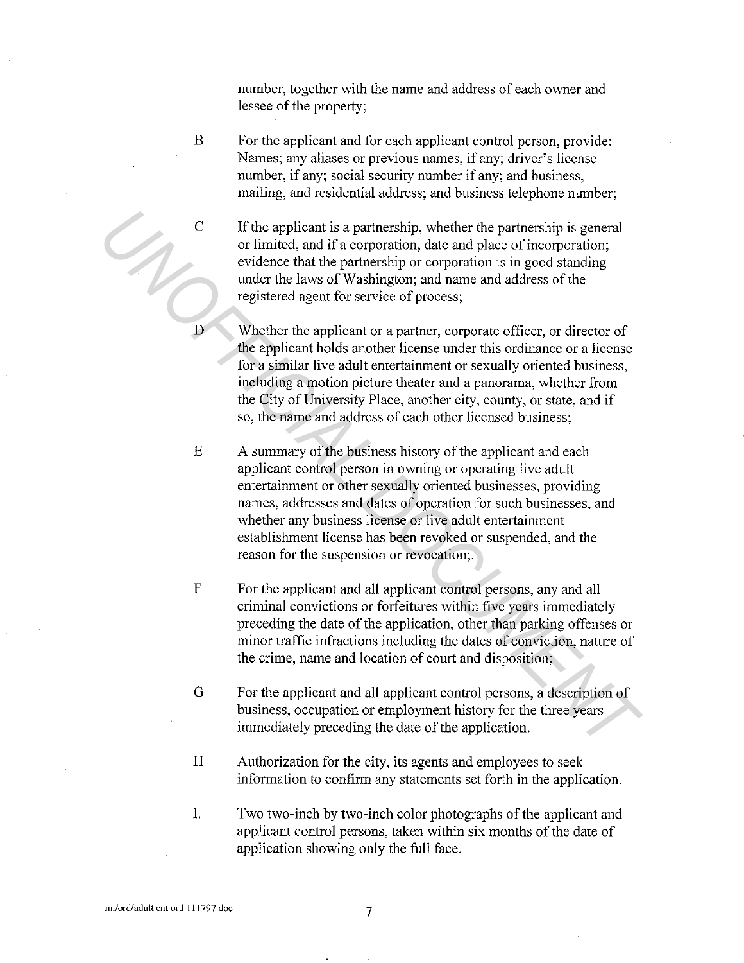number, together with the name and address of each owner and lessee of the property;

B For the applicant and for each applicant control person, provide: Names; any aliases or previous names, if any; driver's license number, if any; social security number if any; and business, mailing, and residential address; and business telephone number;

 $C$  If the applicant is a partnership, whether the partnership is general or limited, and if a corporation, date and place of incorporation; evidence that the partnership or corporation is in good standing under the laws of Washington; and name and address of the registered agent for service of process;

D Whether the applicant or a partner, corporate officer, or director of the applicant holds another license under this ordinance or a license for a similar live adult entertainment or sexually oriented business, including a motion picture theater and a panorama, whether from the City of University Place, another city, county, or state, and if so, the name and address of each other licensed business;

E A summary of the business history of the applicant and each applicant control person in owning or operating live adult entertainment or other sexually oriented businesses, providing names, addresses and dates of operation for such businesses, and whether any business license or live adult entertainment establishment license has been revoked or suspended, and the reason for the suspension or revocation;. **C** If the applicant is a partnership, whether the partnership is general<br>or limited, and if a corporation, date and place of incorporation;<br>evidence that the partnership or corporation is in good standing<br>under the laws o

F For the applicant and all applicant control persons, any and all criminal convictions or forfeitures within five years immediately preceding the date of the application, other than parking offenses or minor traffic infractions including the dates of conviction, nature of the crime, name and location of court and disposition;

G For the applicant and all applicant control persons, a description of business, occupation or employment history for the three years immediately preceding the date of the application.

H Authorization for the city, its agents and employees to seek information to confirm any statements set forth in the application.

I. Two two-inch by two-inch color photographs of the applicant and applicant control persons, taken within six months of the date of application showing only the full face.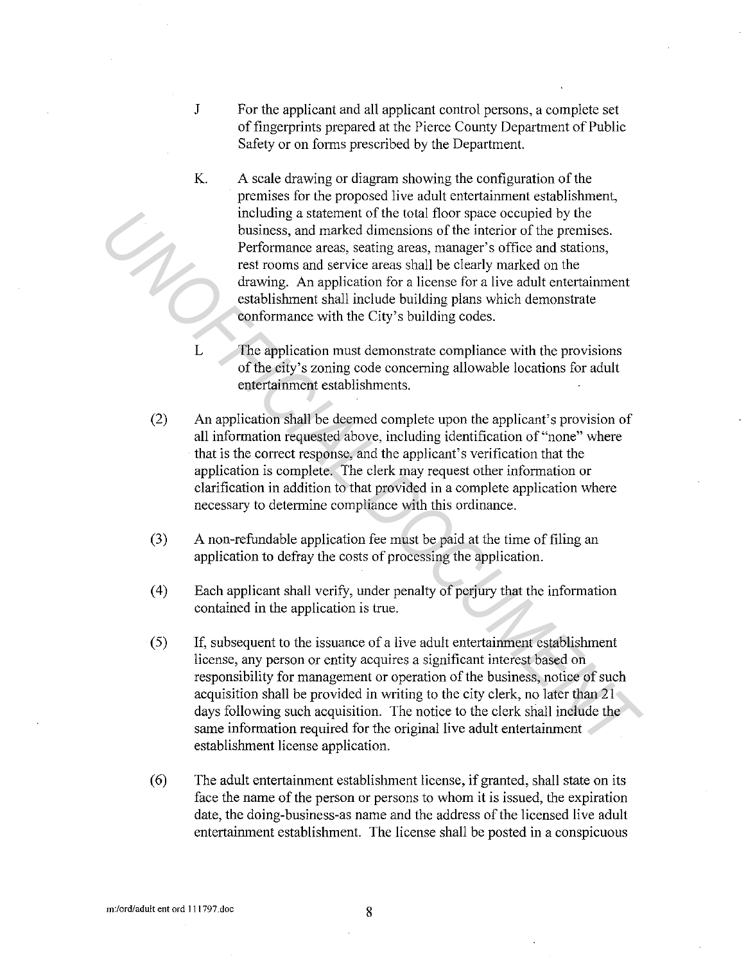- J For the applicant and all applicant control persons, a complete set of fingerprints prepared at the Pierce County Department of Public Safety or on forms prescribed by the Department.
- K. A scale drawing or diagram showing the configuration of the premises for the proposed live adult entertainment establishment, including a statement of the total floor space occupied by the business, and marked dimensions of the interior of the premises. Performance areas, seating areas, manager's office and stations, rest rooms and service areas shall be clearly marked on the drawing. An application for a license for a live adult entertainment establishment shall include building plans which demonstrate conformance with the City's building codes.
- L The application must demonstrate compliance with the provisions of the city's zoning code concerning allowable locations for adult entertainment establishments.
- (2) An application shall be deemed complete upon the applicant's provision of all information requested above, including identification of"none" where that is the correct response, and the applicant's verification that the application is complete. The clerk may request other information or clarification in addition to that provided in a complete application where necessary to determine compliance with this ordinance.
- (3) A non-refundable application fee must be paid at the time of filing an application to defray the costs of processing the application.
- ( 4) Each applicant shall verify, under penalty of perjury that the information contained in the application is true.
- (5) If, subsequent to the issuance of a live adult entertainment establishment license, any person or entity acquires a significant interest based on responsibility for management or operation of the business, notice of such acquisition shall be provided in writing to the city clerk, no later than 21 days following such acquisition. The notice to the clerk shall include the same information required for the original live adult entertainment establishment license application. including a statement of the total hors passe occupied by the<br>usiness, and marked dimensions of the interior of the premiss.<br>Performance areas, seating areas, manager's office and stations,<br>rest trooms and service areas st
	- (6) The adult entertainment establishment license, if granted, shall state on its face the name of the person or persons to whom it is issued, the expiration date, the doing-business-as name and the address of the licensed live adult entertainment establishment. The license shall be posted in a conspicuous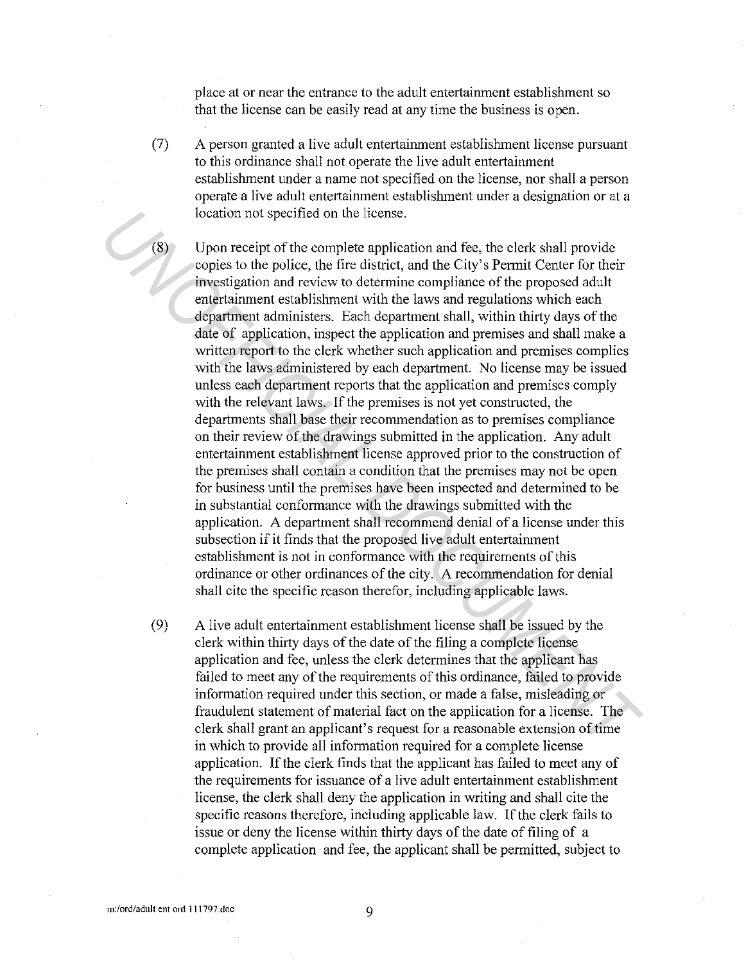place at or near the entrance to the adult entertainment establishment so that the license can be easily read at any time the business is open.

(7) A person granted a live adult entertainment establishment license pursuant to this ordinance shall not operate the live adult entertainment establishment under a name not specified on the license, nor shall a person operate a live adult entertainment establishment under a designation or at a location not specified on the license.

(8) Upon receipt of the complete application and fee, the clerk shall provide copies to the police, the fire district, and the City's Permit Center for their investigation and review to determine compliance of the proposed adult entertainment establishment with the laws and regulations which each department administers. Each department shall, within thirty days of the date of application, inspect the application and premises and shall make a written report to the clerk whether such application and premises complies with the laws administered by each department. No license may be issued unless each department reports that the application and premises comply with the relevant laws. If the premises is not yet constructed, the departments shall base their recommendation as to premises compliance on their review of the drawings submitted in the application. Any adult entertainment establishment license approved prior to the construction of the premises shall contain a condition that the premises may not be open for business until the premises have been inspected and determined to be in substantial conformance with the drawings submitted with the application. A department shall recommend denial of a license under this subsection if it finds that the proposed live adult entertainment establishment is not in conformance with the requirements of this ordinance or other ordinances of the city. A recommendation for denial shall cite the specific reason therefor, including applicable laws. **1** location not specified on the license.<br> **Example 1** Upon receipt of the complete application and fee, the treat wis the consistent on the investigation and review to determine compliance of the proposed adult entertimm

(9) A live adult entertainment establishment license shall be issued by the clerk within thirty days of the date of the filing a complete license application and fee, unless the clerk determines that the applicant has failed to meet any of the requirements of this ordinance, failed to provide information required under this section, or made a false, misleading or fraudulent statement of material fact on the application for a license. The clerk shall grant an applicant's request for a reasonable extension of time in which to provide all information required for a complete license application. If the clerk finds that the applicant has failed to meet any of the requirements for issuance of a live adult entertainment establishment license, the clerk shall deny the application in writing and shall cite the specific reasons therefore, including applicable law. If the clerk fails to issue or deny the license within thirty days of the date of filing of a complete application and fee, the applicant shall be permitted, subject to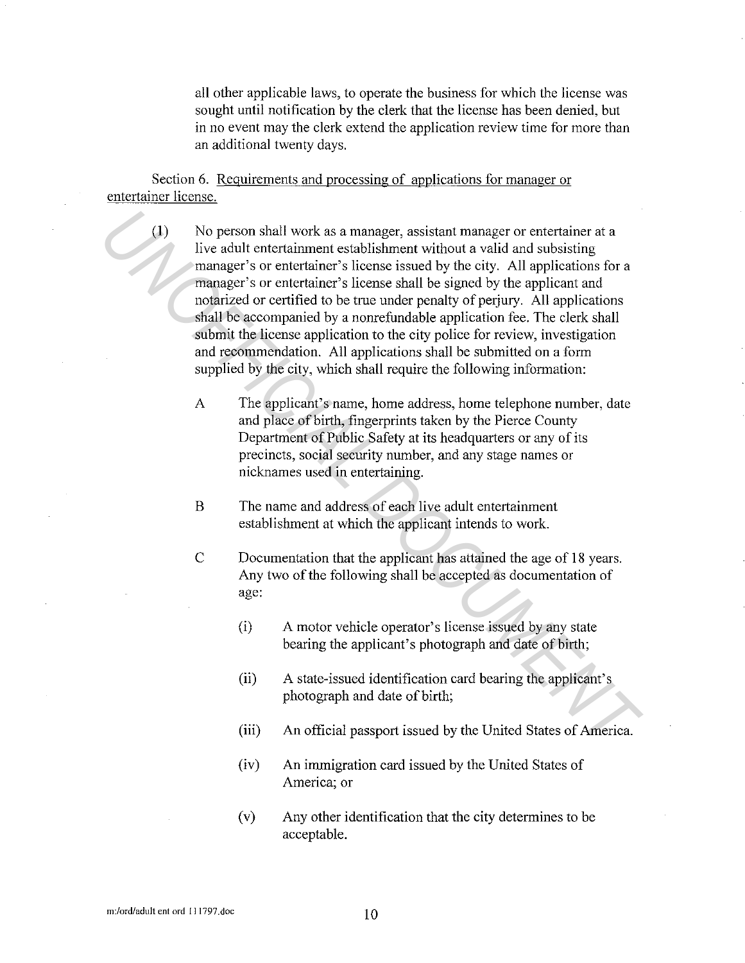all other applicable laws, to operate the business for which the license was sought until notification by the clerk that the license has been denied, but in no event may the clerk extend the application review time for more than an additional twenty days.

Section 6. Reguirements and processing of applications for manager or entertainer license.

(I) No person shall work as a manager, assistant manager or entertainer at a live adult entertainment establishment without a valid and subsisting manager's or entertainer's license issued by the city. All applications for a manager's or entertainer's license shall be signed by the applicant and notarized or certified to be true under penalty of perjury. All applications shall be accompanied by a nonrefundable application fee. The clerk shall submit the license application to the city police for review, investigation and recommendation. All applications shall be submitted on a form supplied by the city, which shall require the following information: (1) No person shall work as a manager, assistant manager or entertainer at a<br>
live adult entertainment establishment without a valid and subsisting<br>
manager's or entertainer's license shall be signed by the applicant and<br>

- A The applicant's name, home address, home telephone number, date and place of birth, fingerprints taken by the Pierce County Department of Public Safety at its headquarters or any of its precincts, social security number, and any stage names or nicknames used in entertaining.
- B The name and address of each live adult entertainment establishment at which the applicant intends to work.
- C Documentation that the applicant has attained the age of 18 years. Any two of the following shall be accepted as documentation of age:
	- (i) A motor vehicle operator's license issued by any state bearing the applicant's photograph and date of birth;
	- (ii) A state-issued identification card bearing the applicant's photograph and date of birth;
	- (iii) An official passport issued by the United States of America.
	- (iv) An immigration card issued by the United States of America; or
	- (v) Any other identification that the city determines to be acceptable.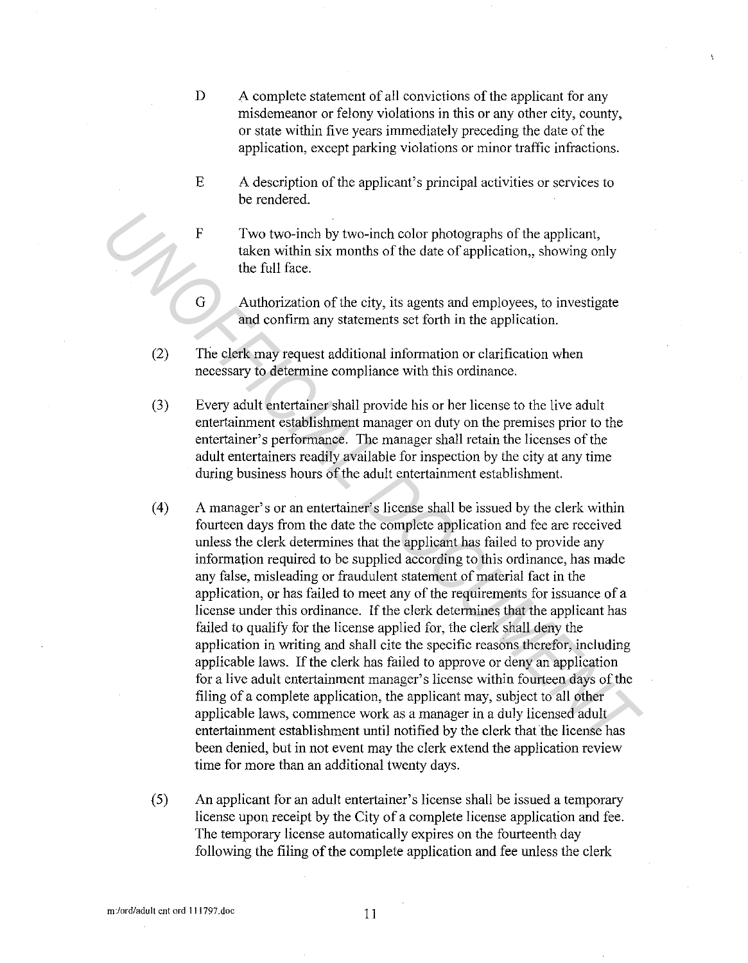- D A complete statement of all convictions of the applicant for any misdemeanor or felony violations in this or any other city, county, or state within five years immediately preceding the date of the application, except parking violations or minor traffic infractions.
- E A description of the applicant's principal activities or services to be rendered.
- F Two two-inch by two-inch color photographs of the applicant, taken within six months of the date of application,, showing only the full face.
- G Authorization of the city, its agents and employees, to investigate and confirm any statements set forth in the application.
- (2) The clerk may request additional information or clarification when necessary to determine compliance with this ordinance.
- (3) Every adult entertainer shall provide his or her license to the live adult entertainment establishment manager on duty on the premises prior to the entertainer's performance. The manager shall retain the licenses of the adult entertainers readily available for inspection by the city at any time during business hours of the adult entertainment establishment.
- (4) A manager's or an entertainer's license shall be issued by the clerk within fourteen days from the date the complete application and fee are received unless the clerk determines that the applicant has failed to provide any information required to be supplied according to this ordinance, has made any false, misleading or fraudulent statement of material fact in the application, or has failed to meet any of the requirements for issuance of a license under this ordinance. If the clerk determines that the applicant has failed to qualify for the license applied for, the clerk shall deny the application in writing and shall cite the specific reasons therefor, including applicable laws. If the clerk has failed to approve or deny an application for a live adult entertainment manager's license within fourteen days of the filing of a complete application, the applicant may, subject to all other applicable laws, commence work as a manager in a duly licensed adult entertainment establishment until notified by the clerk that the license has been denied, but in not event may the clerk extend the application review time for more than an additional twenty days. **F** Two two-inch by two-inch color photographs of the applicant,<br>taken within six months of the date of application, showing only<br>the full face.<br>Authorization of the city, its agents and employees, to investigate<br>and confi
	- (5) An applicant for an adult entertainer's license shall be issued a temporary license upon receipt by the City of a complete license application and fee. The temporary license automatically expires on the fourteenth day following the filing of the complete application and fee unless the clerk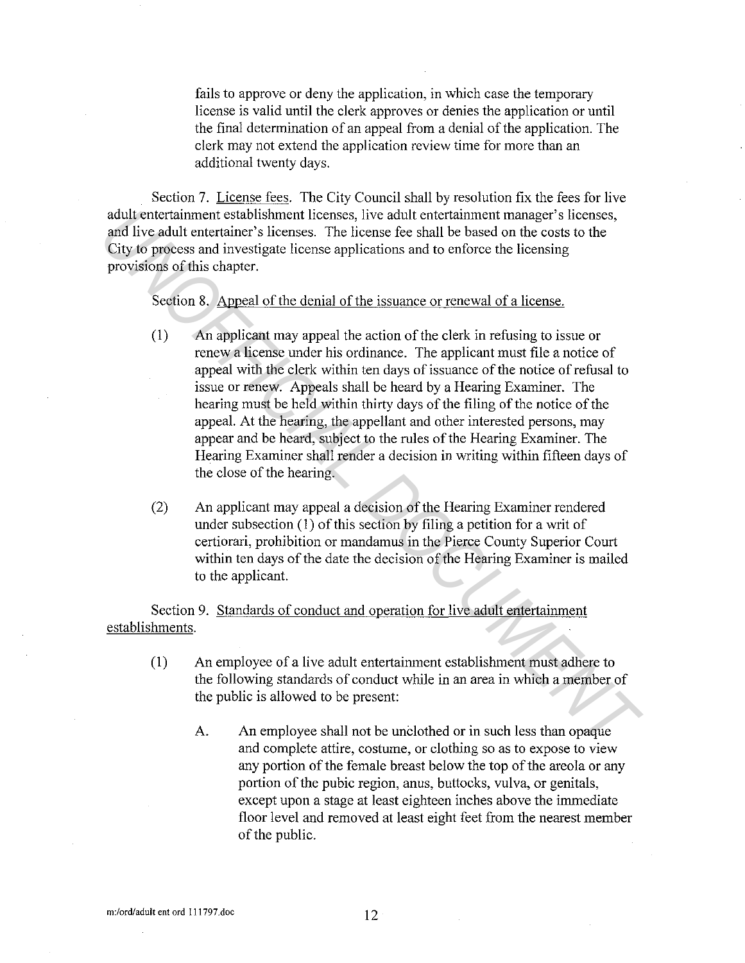fails to approve or deny the application, in which case the temporary license is valid until the clerk approves or denies the application or until the final determination of an appeal from a denial of the application. The clerk may not extend the application review time for more than an additional twenty days.

Section 7. License fees. The City Council shall by resolution fix the fees for live adult entertainment establishment licenses, live adult entertainment manager's licenses, and live adult entertainer's licenses. The license fee shall be based on the costs to the City to process and investigate license applications and to enforce the licensing provisions of this chapter.

Section 8. Appeal of the denial of the issuance or renewal of a license.

- (1) An applicant may appeal the action of the clerk in refusing to issue or renew a license under his ordinance. The applicant must file a notice of appeal with the clerk within ten days of issuance of the notice of refusal to issue or renew. Appeals shall be heard by a Hearing Examiner. The hearing must be held within thirty days of the filing of the notice of the appeal. At the hearing, the appellant and other interested persons, may appear and be heard, subject to the rules of the Hearing Examiner. The Hearing Examiner shall render a decision in writing within fifteen days of the close of the hearing. adult entertrainment establishment licenses, live adult entertrainment manager's licenses<br>and live adult entertrainer's licenses. The license fee shall be based on the costs to the<br>City to process and investigate license
	- (2) An applicant may appeal a decision of the Hearing Examiner rendered under subsection (I) of this section by filing a petition for a writ of certiorari, prohibition or mandamus in the Pierce County Superior Court within ten days of the date the decision of the Hearing Examiner is mailed to the applicant.

Section 9. Standards of conduct and operation for live adult entertainment establishments.

- (I) An employee of a live adult entertainment establishment must adhere to the following standards of conduct while in an area in which a member of the public is allowed to be present:
	- A. An employee shall not be unelothed or in such less than opaque and complete attire, costume, or clothing so as to expose to view any portion of the female breast below the top of the areola or any portion of the pubic region, anus, buttocks, vulva, or genitals, except upon a stage at least eighteen inches above the immediate floor level and removed at least eight feet from the nearest member of the public.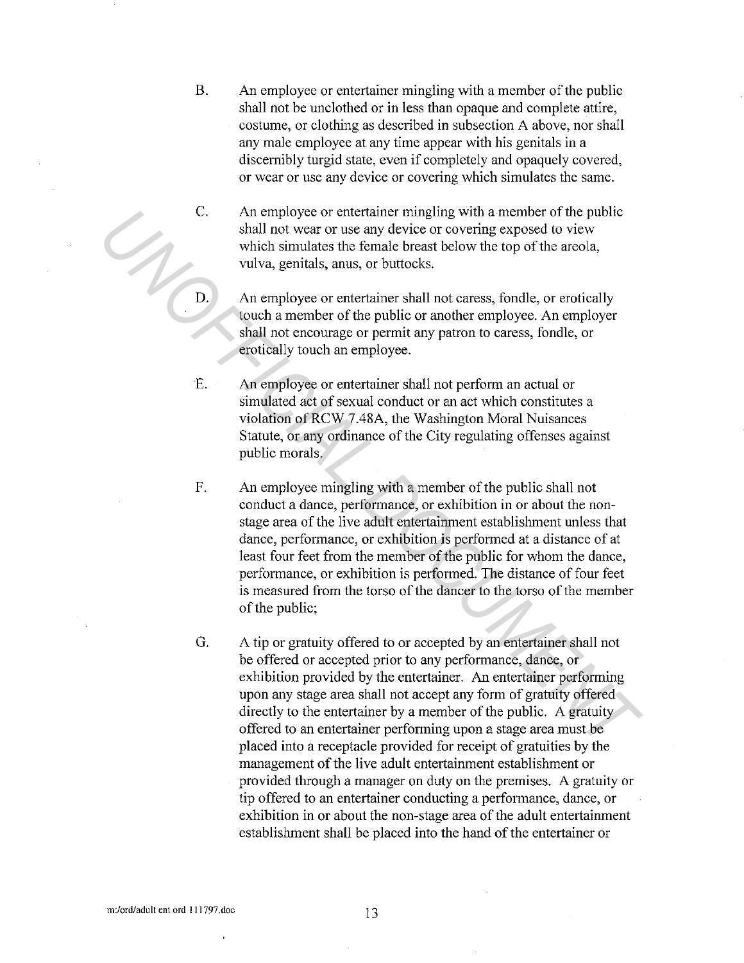- B. An employee or entertainer mingling with a member of the public shall not be unclothed or in less than opaque and complete attire, costume, or clothing as described in subsection A above, nor shall any male employee at any time appear with his genitals in a discernibly turgid state, even if completely and opaquely covered, or wear or use any device or covering which simulates the same.
- C. An employee or entertainer mingling with a member of the public shall not wear or use any device or covering exposed to view which simulates the female breast below the top of the areola, vulva, genitals, anus, or buttocks.
- D. An employee or entertainer shall not caress, fondle, or erotically touch a member of the public or another employee. An employer shall not encourage or permit any patron to caress, fondle, or erotically touch an employee.
- *E.* An employee or entertainer shall not perform an actual or simulated act of sexual conduct or an act which constitutes a violation ofRCW 7.48A, the Washington Moral Nuisances Statute, or any ordinance of the City regulating offenses against public morals.
- F. An employee mingling with a member of the public shall not conduct a dance, performance, or exhibition in or about the nonstage area of the live adult entertaimnent establishment unless that dance, performance, or exhibition is performed at a distance of at least four feet from the member of the public for whom the dance, performance, or exhibition is performed. The distance of four feet is measured from the torso of the dancer to the torso of the member of the public; C. An employee or entertainer many and amender of the public<br>shall not wear or use any device or covering exposed to view<br>which simulates the female broast below the top of the envola,<br>vulva, genitals, anus, or buttocks.<br>A
	- G. A tip or gratuity offered to or accepted by an entertainer shall not be offered or accepted prior to any performance, dance, or exhibition provided by the entertainer. An entertainer performing upon any stage area shall not accept any form of gratuity offered directly to the entertainer by a member of the public. A gratuity offered to an entertainer performing upon a stage area must be placed into a receptacle provided for receipt of gratuities by the management of the live adult entertaimnent establishment or provided through a manager on duty on the premises. A gratuity or tip offered to an entertainer conducting a performance, dance, or exhibition in or about the non-stage area of the adult entertaimnent establishment shall be placed into the hand of the entertainer or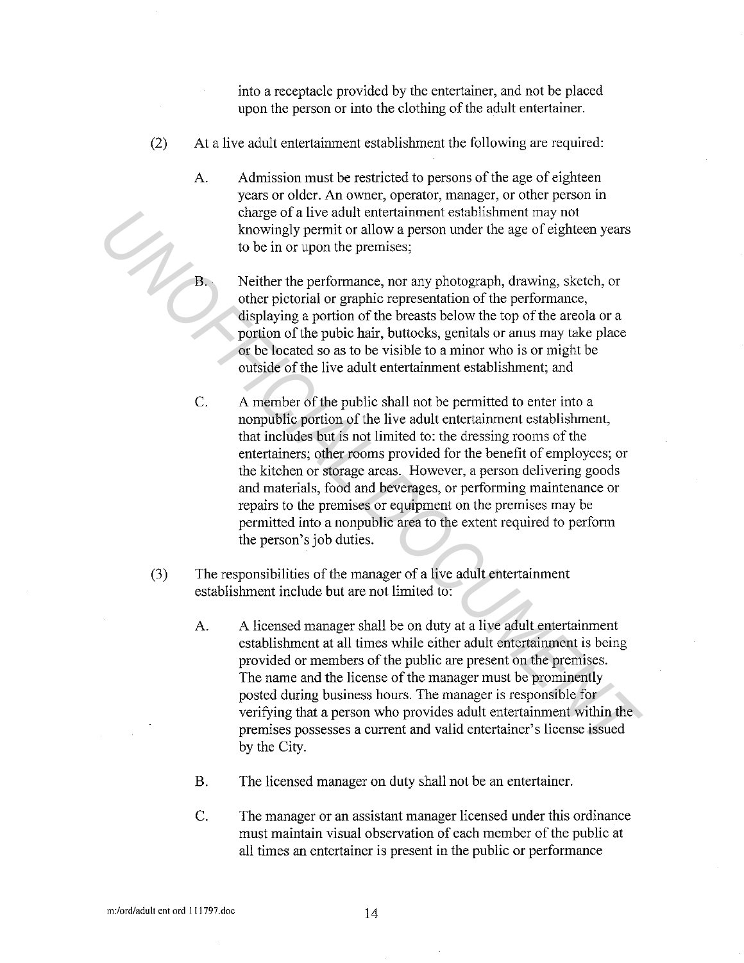into a receptacle provided by the entertainer, and not be placed upon the person or into the clothing of the adult entertainer.

- (2) At a live adult entertainment establishment the following are required:
	- A. Admission must be restricted to persons of the age of eighteen years or older. An owner, operator, manager, or other person in charge of a live adult entertainment establishment may not knowingly permit or allow a person under the age of eighteen years to be in or upon the premises;
		- Neither the performance, nor any photograph, drawing, sketch, or other pictorial or graphic representation of the performance, displaying a portion of the breasts below the top of the areola or a portion of the pubic hair, buttocks, genitals or anus may take place or be located so as to be visible to a minor who is or might be outside of the live adult entertainment establishment; and
- C. A member of the public shall not be permitted to enter into a nonpublic portion of the live adult entertainment establishment, that includes but is not limited to: the dressing rooms of the entertainers; other rooms provided for the benefit of employees; or the kitchen or storage areas. However, a person delivering goods and materials, food and beverages, or performing maintenance or repairs to the premises or equipment on the premises may be permitted into a nonpublic area to the extent required to perform the person's job duties. **Change of a** live addit entertiationent may not an energy of a live and the control of the performance, nor any photograph, drawing, sketch, or other pictorial or graphic representation of the performance, the displaying
	- (3) The responsibilities of the manager ofa live adult entertainment establishment include but are not limited to:
		- A. A licensed manager shall be on duty at a live adult entertainment establishment at all times while either adult entertainment is being provided or members of the public are present on the premises. The name and the license of the manager must be prominently posted during business hours. The manager is responsible for verifying that a person who provides adult entertainment within the premises possesses a current and valid entertainer's license issued by the City.
		- B. The licensed manager on duty shall not be an entertainer.
		- C. The manager or an assistant manager licensed under this ordinance must maintain visual observation of each member of the public at all times an entertainer is present in the public or performance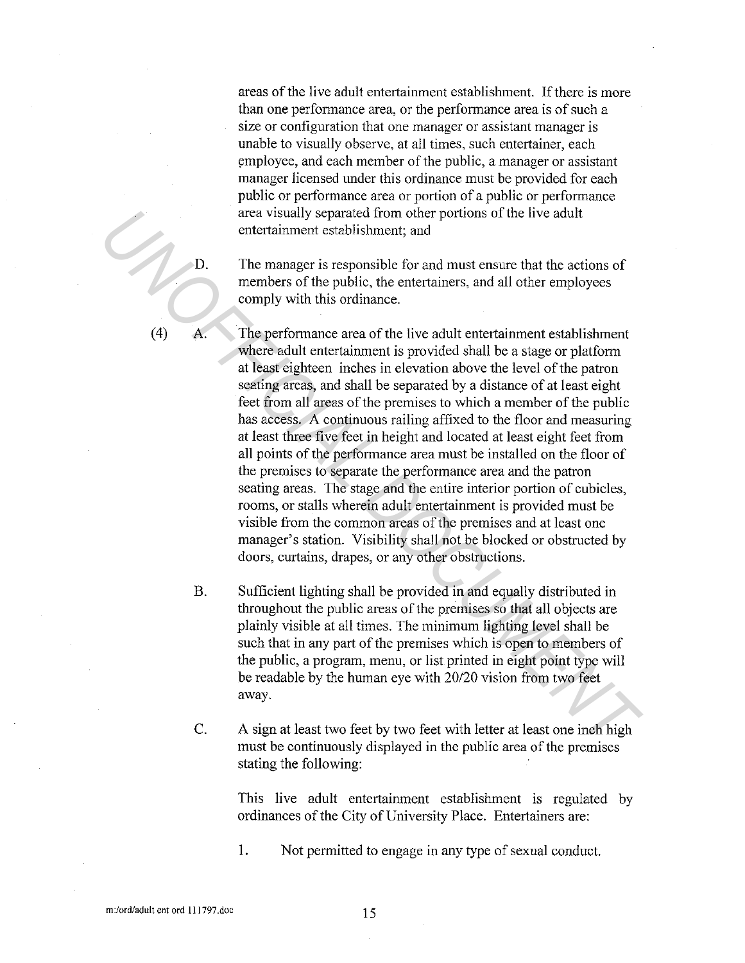areas of the live adult entertainment establishment. If there is more than one performance area, or the performance area is of such a size or configuration that one manager or assistant manager is unable to visually observe, at all times, such entertainer, each employee, and each member of the public, a manager or assistant manager licensed under this ordinance must be provided for each public or performance area or portion of a public or performance area visually separated from other portions of the live adult entertainment establishment; and

D. The manager is responsible for and must ensure that the actions of members of the public, the entertainers, and all other employees comply with this ordinance.

A. The performance area of the live adult entertainment establishment where adult entertainment is provided shall be a stage or platform at least eighteen inches in elevation above the level of the patron seating areas, and shall be separated by a distance of at least eight feet from all areas of the premises to which a member of the public has access. A continuous railing affixed to the floor and measuring at least three five feet in height and located at least eight feet from all points of the performance area must be installed on the floor of the premises to separate the performance area and the patron seating areas. The stage and the entire interior portion of cubicles, rooms, or stalls wherein adult entertainment is provided must be visible from the common areas of the premises and at least one manager's station. Visibility shall not be blocked or obstructed by doors, curtains, drapes, or any other obstructions. **EXERCT**<br> **EXERCT THE STEAD SUPER STEAD SUPER STEAD SUPER STEAD SUPER STEAD SUPER STEAD SUPER STEAD SUPER STEAD SUPER STEAD SUPER STEAD SUPER SUPER SUPER SUPER SUPER SUPER SUPER SUPER SUPER SUPER SUPER SUPER SUPER SUPER SU** 

- B. Sufficient lighting shall be provided in and equally distributed in throughout the public areas of the premises so that all objects are plainly visible at all times. The minimum lighting level shall be such that in any part of the premises which is open to members of the public, a program, menu, or list printed in eight point type will be readable by the human eye with 20/20 vision from two feet away.
- C. A sign at least two feet by two feet with letter at least one inch high must be continuously displayed in the public area of the premises stating the following:

This live adult entertainment establishment is regulated by ordinances of the City of University Place. Entertainers are:

1. Not permitted to engage in any type of sexual conduct.

(4)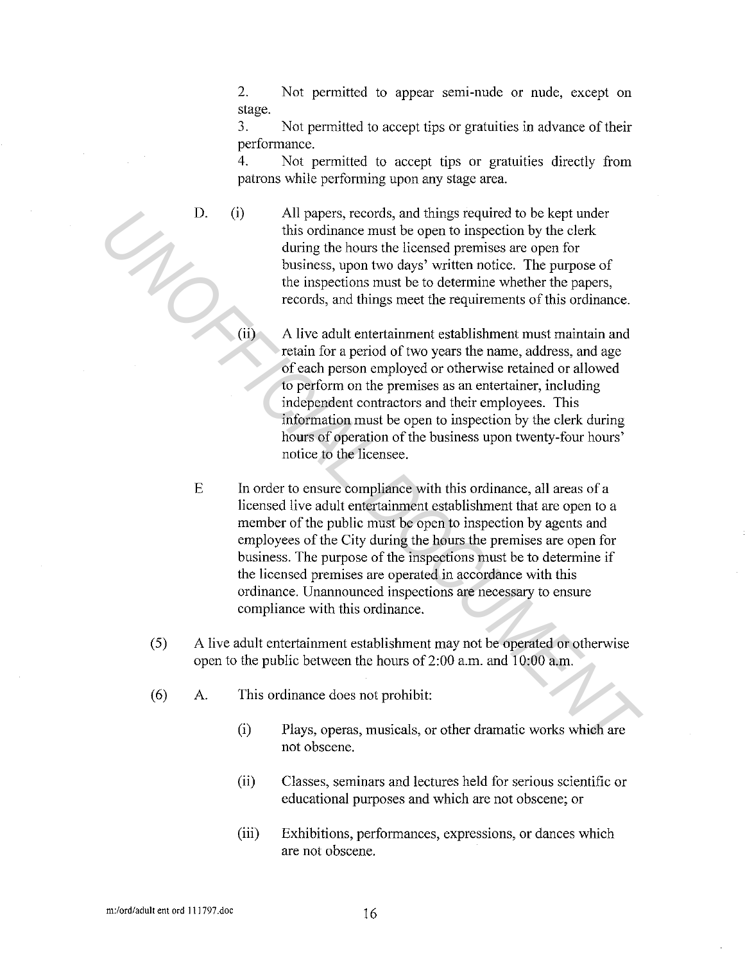2. Not permitted to appear semi-nude or nude, except on stage.

3. Not permitted to accept tips or gratuities in advance of their performance.

4. Not permitted to accept tips or gratuities directly from patrons while performing upon any stage area.

D.

- (i) All papers, records, and things required to be kept under this ordinance must be open to inspection by the clerk during the hours the licensed premises are open for business, upon two days' written notice. The purpose of the inspections must be to determine whether the papers, records, and things meet the requirements of this ordinance.
- (ii) A live adult entertainment establishment must maintain and retain for a period of two years the name, address, and age of each person employed or otherwise retained or allowed to perform on the premises as an entertainer, including independent contractors and their employees. This information must be open to inspection by the clerk during hours of operation of the business upon twenty-four hours' notice to the licensee.
- E In order to ensure compliance with this ordinance, all areas of a licensed live adult entertainment establishment that are open to a member of the public must be open to inspection by agents and employees of the City during the hours the premises are open for business. The purpose of the inspections must be to determine if the licensed premises are operated in accordance with this ordinance. Unarmounced inspections are necessary to ensure compliance with this ordinance. 13. (i) all papers, records, and things required to be kept under<br>this ordinance must be open to inspection by the clerk<br>during the houns the licensed premises are open for<br>bisinses, upon two days' written notice. The pur
	- ( 5) A live adult entertainment establishment may not be operated or otherwise open to the public between the hours of2:00 a.m. and 10:00 a.m.
	- (6) A. This ordinance does not prohibit:
		- (i) Plays, operas, musicals, or other dramatic works which are not obscene.
		- (ii) Classes, seminars and lectures held for serious scientific or educational purposes and which are not obscene; or
		- (iii) Exhibitions, performances, expressions, or dances which are not obscene.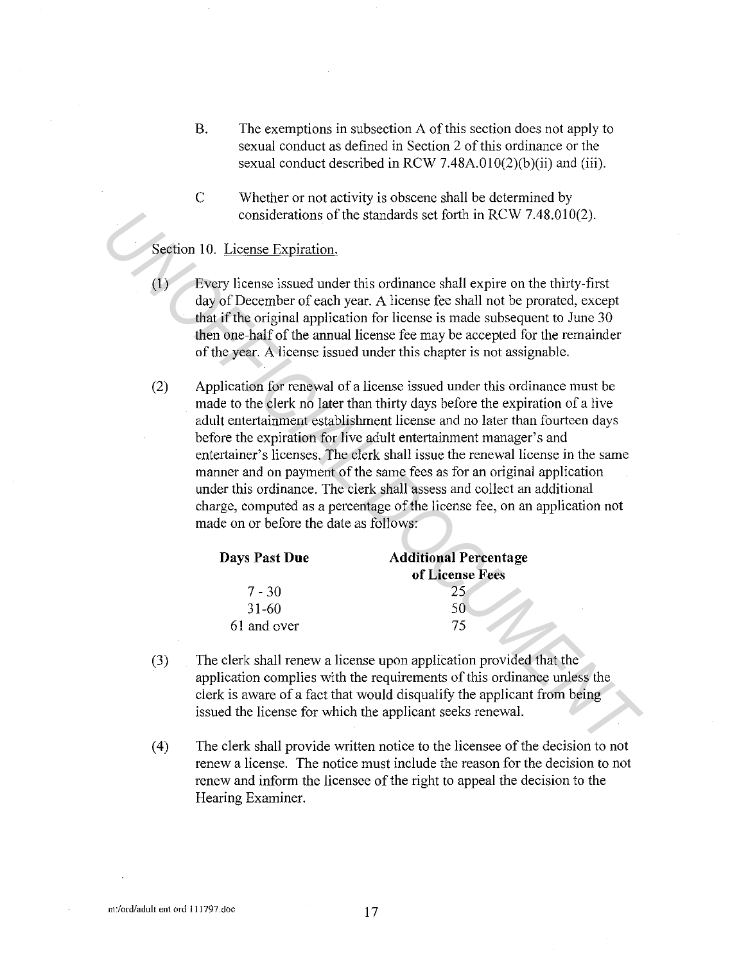- B. The exemptions in subsection A of this section does not apply to sexual conduct as defined in Section 2 of this ordinance or the sexual conduct described in RCW 7.48A.010(2)(b)(ii) and (iii).
- C Whether or not activity is obscene shall be determined by considerations of the standards set forth in RCW 7.48.010(2).

## Section 10. License Expiration.

- (I) Every license issued under this ordinance shall expire on the thirty-first day of December of each year. A license fee shall not be prorated, except that if the original application for license is made subsequent to June 30 then one-half of the annual license fee may be accepted for the remainder of the year. A license issued under this chapter is not assignable.
- (2) Application for renewal of a license issued under this ordinance must be made to the clerk no later than thirty days before the expiration of a live adult entertainment establishment license and no later than fourteen days before the expiration for live adult entertainment manager's and entertainer's licenses. The clerk shall issue the renewal license in the same manner and on payment of the same fees as for an original application under this ordinance. The clerk shall assess and collect an additional charge, computed as a percentage of the license fee, on an application not made on or before the date as follows: considerations of the standards set forth in RCW 7.48.010(2).<br> **Section 10. License Expiration**.<br>
(1) **Every license issued under this ordinance shall expire on the thirty-first**<br>
day of December of each year. A license fo

| Days Past Due | <b>Additional Percentage</b> |
|---------------|------------------------------|
|               | of License Fees              |
| $7 - 30$      |                              |
| 31-60         | 50                           |
| 61 and over   | 75                           |

- (3) The clerk shall renew a license upon application provided that the application complies with the requirements of this ordinance unless the clerk is aware of a fact that would disqualify the applicant from being issued the license for which the applicant seeks renewal.
- ( 4) The clerk shall provide written notice to the licensee of the decision to not renew a license. The notice must include the reason for the decision to not renew and inform the licensee of the right to appeal the decision to the Hearing Examiner.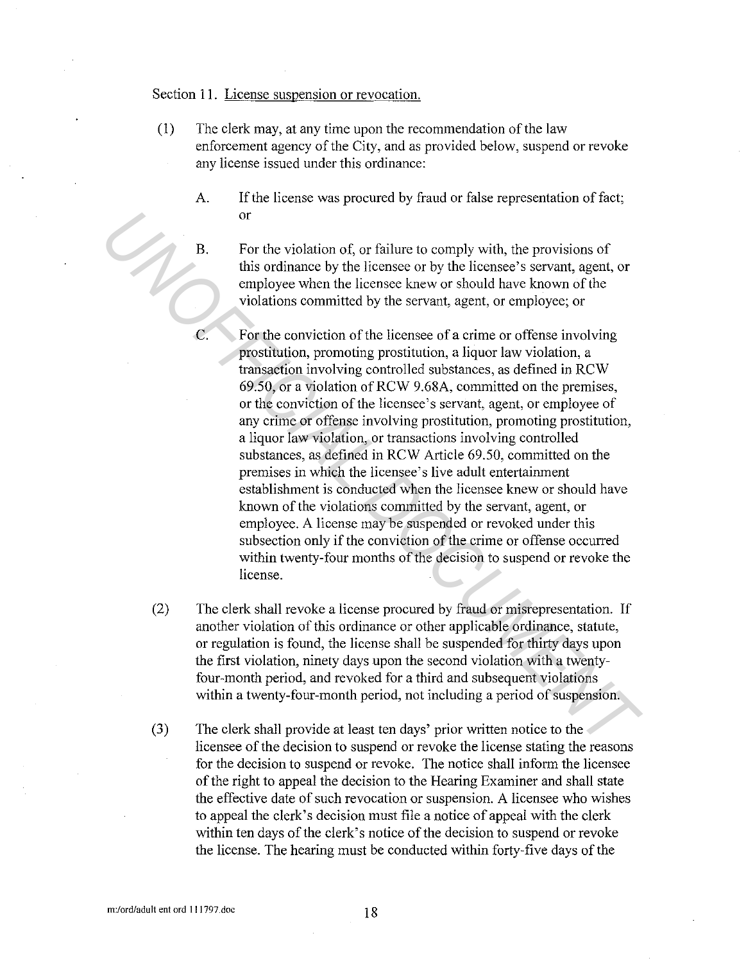## Section 11. License suspension or revocation.

- (1) The clerk may, at any time upon the recommendation of the law enforcement agency of the City, and as provided below, suspend or revoke any license issued under this ordinance:
	- A. If the license was procured by fraud or false representation of fact; or
	- B. For the violation of, or failure to comply with, the provisions of this ordinance by the licensee or by the licensee's servant, agent, or employee when the licensee knew or should have known of the violations committed by the servant, agent, or employee; or
- C. For the conviction of the licensee of a crime or offense involving prostitution, promoting prostitution, a liquor law violation, a transaction involving controlled substances, as defined in RCW 69.50, or a violation of RCW 9.68A, committed on the premises, or the conviction of the licensee's servant, agent, or employee of any crime or offense involving prostitution, promoting prostitution, a liquor law violation, or transactions involving controlled substances, as defined in RCW Article 69.50, committed on the premises in which the licensee's live adult entertainment establishment is conducted when the licensee knew or should have known of the violations committed by the servant, agent, or employee. A license may be suspended or revoked under this subsection only if the conviction of the crime or offense occurred within twenty-four months of the decision to suspend or revoke the license. **EXAMPLE 18**<br> **EXAMPLE 18** The result of the license or by the license of system, agent, or this ordinatione by the license to hyve be license as servant, agent, or employee when the license forewer by the license forewer
	- (2) The clerk shall revoke a license procured by fraud or misrepresentation. If another violation of this ordinance or other applicable ordinance, statute, or regulation is found, the license shall be suspended for thirty days upon the first violation, ninety days upon the second violation with a twentyfour-month period, and revoked for a third and subsequent violations within a twenty-four-month period, not including a period of suspension.
	- (3) The clerk shall provide at least ten days' prior written notice to the licensee of the decision to suspend or revoke the license stating the reasons for the decision to suspend or revoke. The notice shall inform the licensee of the right to appeal the decision to the Hearing Examiner and shall state the effective date of such revocation or suspension. A licensee who wishes to appeal the clerk's decision must file a notice of appeal with the clerk within ten days of the clerk's notice of the decision to suspend or revoke the license. The hearing must be conducted within forty-five days of the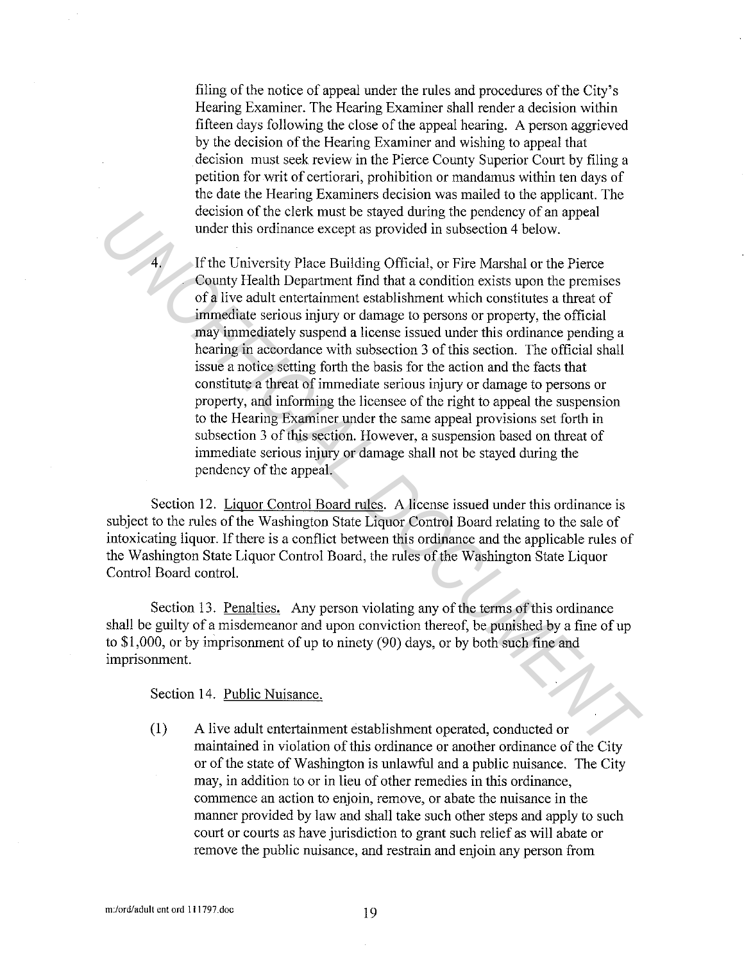filing of the notice of appeal under the rules and procedures of the City's Hearing Examiner. The Hearing Examiner shall render a decision within fifteen days following the close of the appeal hearing. A person aggrieved by the decision of the Hearing Examiner and wishing to appeal that decision must seek review in the Pierce County Superior Court by filing a petition for writ of certiorari, prohibition or mandamus within ten days of the date the Hearing Examiners decision was mailed to the applicant. The decision of the clerk must be stayed during the pendency of an appeal under this ordinance except as provided in subsection 4 below.

If the University Place Building Official, or Fire Marshal or the Pierce County Health Department find that a condition exists upon the premises of a live adult entertaimnent establishment which constitutes a threat of immediate serious injury or damage to persons or property, the official may immediately suspend a license issued under this ordinance pending a hearing in accordance with subsection 3 of this section. The official shall issue a notice setting forth the basis for the action and the facts that constitute a threat of immediate serious injury or damage to persons or property, and informing the licensee of the right to appeal the suspension to the Hearing Examiner under the same appeal provisions set forth in subsection 3 of this section. However, a suspension based on threat of immediate serious injury or damage shall not be stayed during the pendency of the appeal. decision of the circle must be stayed during the pendency of an appearance of the circle must be stayed during Official, or Fire Marshal or the Pierce County Health Department find that a condition exists upon the pennisse

Section 12. Liquor Control Board rules. A license issued under this ordinance is subject to the rules of the Washington State Liquor Control Board relating to the sale of intoxicating liquor. If there is a conflict between this ordinance and the applicable rules of the Washington State Liquor Control Board, the rules of the Washington State Liquor Control Board control.

Section 13. Penalties. Any person violating any of the terms of this ordinance shall be guilty of a misdemeanor and upon conviction thereof, be punished by a fine of up to \$1,000, or by imprisomnent of up to ninety (90) days, or by both such fine and imprisomnent.

Section 14. Public Nuisance.

(1) A live adult entertaimnent establishment operated, conducted or maintained in violation of this ordinance or another ordinance of the City or of the state of Washington is unlawful and a public nuisance. The City may, in addition to or in lieu of other remedies in this ordinance, commence an action to enjoin, remove, or abate the nuisance in the manner provided by law and shall take such other steps and apply to such court or courts as have jurisdiction to grant such relief as will abate or remove the public nuisance, and restrain and enjoin any person from